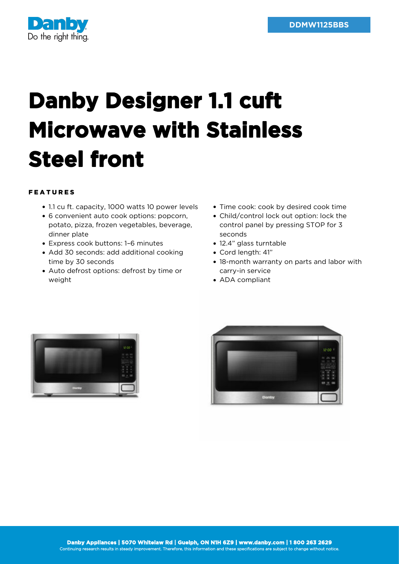

## **Danby Designer 1.1 cuft Microwave with Stainless Steel front**

## FEATURES

- 1.1 cu ft. capacity, 1000 watts 10 power levels
- 6 convenient auto cook options: popcorn, potato, pizza, frozen vegetables, beverage, dinner plate
- Express cook buttons: 1–6 minutes
- Add 30 seconds: add additional cooking time by 30 seconds
- Auto defrost options: defrost by time or weight
- Time cook: cook by desired cook time
- Child/control lock out option: lock the control panel by pressing STOP for 3 seconds
- 12.4" glass turntable
- Cord length: 41"
- 18-month warranty on parts and labor with carry-in service
- ADA compliant